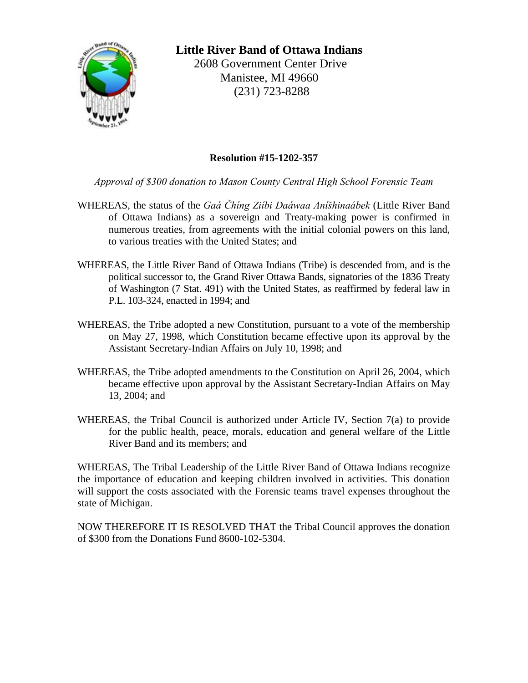

**Little River Band of Ottawa Indians**  2608 Government Center Drive Manistee, MI 49660 (231) 723-8288

## **Resolution #15-1202-357**

*Approval of \$300 donation to Mason County Central High School Forensic Team*

- WHEREAS, the status of the *Gaá Čhíng Ziíbi Daáwaa Aníšhinaábek* (Little River Band of Ottawa Indians) as a sovereign and Treaty-making power is confirmed in numerous treaties, from agreements with the initial colonial powers on this land, to various treaties with the United States; and
- WHEREAS, the Little River Band of Ottawa Indians (Tribe) is descended from, and is the political successor to, the Grand River Ottawa Bands, signatories of the 1836 Treaty of Washington (7 Stat. 491) with the United States, as reaffirmed by federal law in P.L. 103-324, enacted in 1994; and
- WHEREAS, the Tribe adopted a new Constitution, pursuant to a vote of the membership on May 27, 1998, which Constitution became effective upon its approval by the Assistant Secretary-Indian Affairs on July 10, 1998; and
- WHEREAS, the Tribe adopted amendments to the Constitution on April 26, 2004, which became effective upon approval by the Assistant Secretary-Indian Affairs on May 13, 2004; and
- WHEREAS, the Tribal Council is authorized under Article IV, Section 7(a) to provide for the public health, peace, morals, education and general welfare of the Little River Band and its members; and

WHEREAS, The Tribal Leadership of the Little River Band of Ottawa Indians recognize the importance of education and keeping children involved in activities. This donation will support the costs associated with the Forensic teams travel expenses throughout the state of Michigan.

NOW THEREFORE IT IS RESOLVED THAT the Tribal Council approves the donation of \$300 from the Donations Fund 8600-102-5304.